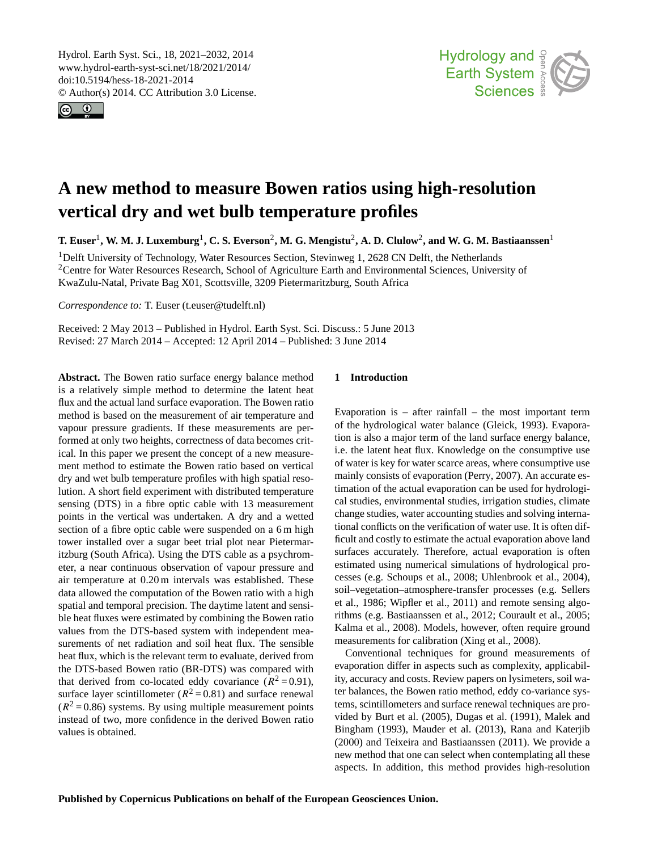<span id="page-0-0"></span>Hydrol. Earth Syst. Sci., 18, 2021–2032, 2014 www.hydrol-earth-syst-sci.net/18/2021/2014/ doi:10.5194/hess-18-2021-2014 © Author(s) 2014. CC Attribution 3.0 License.





# **A new method to measure Bowen ratios using high-resolution vertical dry and wet bulb temperature profiles**

 ${\bf T.\ E}$ user<sup>1</sup>, W. M. J. Luxemburg<sup>1</sup>, C. S. Everson<sup>2</sup>, M. G. Mengistu<sup>2</sup>, A. D. Clulow<sup>2</sup>, and W. G. M. Bastiaanssen<sup>1</sup>

<sup>1</sup>Delft University of Technology, Water Resources Section, Stevinweg 1, 2628 CN Delft, the Netherlands <sup>2</sup>Centre for Water Resources Research, School of Agriculture Earth and Environmental Sciences, University of KwaZulu-Natal, Private Bag X01, Scottsville, 3209 Pietermaritzburg, South Africa

*Correspondence to:* T. Euser (t.euser@tudelft.nl)

Received: 2 May 2013 – Published in Hydrol. Earth Syst. Sci. Discuss.: 5 June 2013 Revised: 27 March 2014 – Accepted: 12 April 2014 – Published: 3 June 2014

**Abstract.** The Bowen ratio surface energy balance method is a relatively simple method to determine the latent heat flux and the actual land surface evaporation. The Bowen ratio method is based on the measurement of air temperature and vapour pressure gradients. If these measurements are performed at only two heights, correctness of data becomes critical. In this paper we present the concept of a new measurement method to estimate the Bowen ratio based on vertical dry and wet bulb temperature profiles with high spatial resolution. A short field experiment with distributed temperature sensing (DTS) in a fibre optic cable with 13 measurement points in the vertical was undertaken. A dry and a wetted section of a fibre optic cable were suspended on a 6 m high tower installed over a sugar beet trial plot near Pietermaritzburg (South Africa). Using the DTS cable as a psychrometer, a near continuous observation of vapour pressure and air temperature at 0.20 m intervals was established. These data allowed the computation of the Bowen ratio with a high spatial and temporal precision. The daytime latent and sensible heat fluxes were estimated by combining the Bowen ratio values from the DTS-based system with independent measurements of net radiation and soil heat flux. The sensible heat flux, which is the relevant term to evaluate, derived from the DTS-based Bowen ratio (BR-DTS) was compared with that derived from co-located eddy covariance  $(R^2 = 0.91)$ , surface layer scintillometer ( $R^2 = 0.81$ ) and surface renewal  $(R<sup>2</sup> = 0.86)$  systems. By using multiple measurement points instead of two, more confidence in the derived Bowen ratio values is obtained.

## **1 Introduction**

Evaporation is  $-$  after rainfall  $-$  the most important term of the hydrological water balance [\(Gleick,](#page-10-0) [1993\)](#page-10-0). Evaporation is also a major term of the land surface energy balance, i.e. the latent heat flux. Knowledge on the consumptive use of water is key for water scarce areas, where consumptive use mainly consists of evaporation [\(Perry,](#page-11-0) [2007\)](#page-11-0). An accurate estimation of the actual evaporation can be used for hydrological studies, environmental studies, irrigation studies, climate change studies, water accounting studies and solving international conflicts on the verification of water use. It is often difficult and costly to estimate the actual evaporation above land surfaces accurately. Therefore, actual evaporation is often estimated using numerical simulations of hydrological processes (e.g. [Schoups et al.,](#page-11-1) [2008;](#page-11-1) [Uhlenbrook et al.,](#page-11-2) [2004\)](#page-11-2), soil–vegetation–atmosphere-transfer processes (e.g. [Sellers](#page-11-3) [et al.,](#page-11-3) [1986;](#page-11-3) [Wipfler et al.,](#page-11-4) [2011\)](#page-11-4) and remote sensing algorithms (e.g. [Bastiaanssen et al.,](#page-10-1) [2012;](#page-10-1) [Courault et al.,](#page-10-2) [2005;](#page-10-2) [Kalma et al.,](#page-10-3) [2008\)](#page-10-3). Models, however, often require ground measurements for calibration [\(Xing et al.,](#page-11-5) [2008\)](#page-11-5).

Conventional techniques for ground measurements of evaporation differ in aspects such as complexity, applicability, accuracy and costs. Review papers on lysimeters, soil water balances, the Bowen ratio method, eddy co-variance systems, scintillometers and surface renewal techniques are provided by [Burt et al.](#page-10-4) [\(2005\)](#page-10-4), [Dugas et al.](#page-10-5) [\(1991\)](#page-10-5), [Malek and](#page-11-6) [Bingham](#page-11-6) [\(1993\)](#page-11-6), [Mauder et al.](#page-11-7) [\(2013\)](#page-11-7), [Rana and Katerjib](#page-11-8) [\(2000\)](#page-11-8) and [Teixeira and Bastiaanssen](#page-11-9) [\(2011\)](#page-11-9). We provide a new method that one can select when contemplating all these aspects. In addition, this method provides high-resolution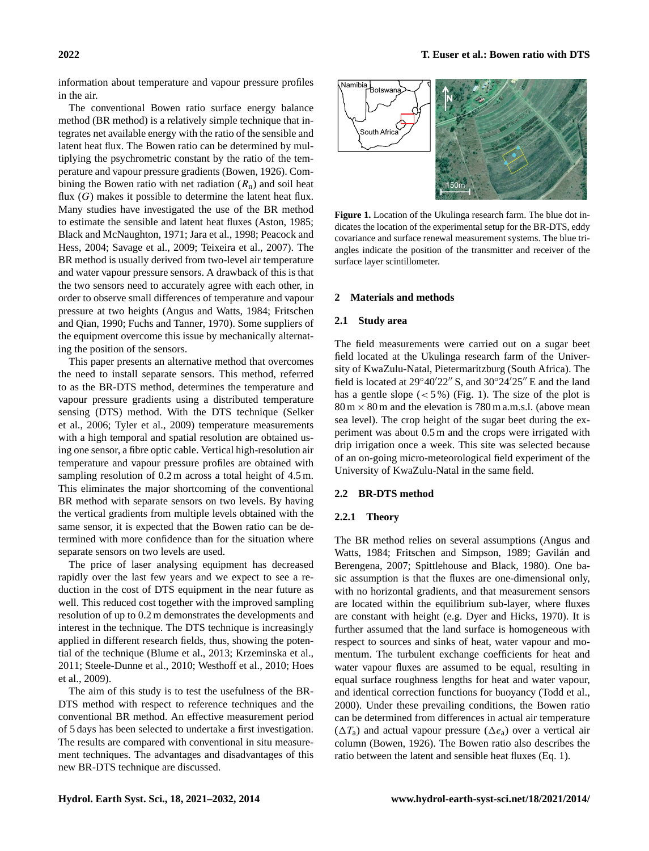information about temperature and vapour pressure profiles in the air.

The conventional Bowen ratio surface energy balance method (BR method) is a relatively simple technique that integrates net available energy with the ratio of the sensible and latent heat flux. The Bowen ratio can be determined by multiplying the psychrometric constant by the ratio of the temperature and vapour pressure gradients [\(Bowen,](#page-10-6) [1926\)](#page-10-6). Combining the Bowen ratio with net radiation  $(R_n)$  and soil heat flux  $(G)$  makes it possible to determine the latent heat flux. Many studies have investigated the use of the BR method to estimate the sensible and latent heat fluxes [\(Aston,](#page-10-7) [1985;](#page-10-7) [Black and McNaughton,](#page-10-8) [1971;](#page-10-8) [Jara et al.,](#page-10-9) [1998;](#page-10-9) [Peacock and](#page-11-10) [Hess,](#page-11-10) [2004;](#page-11-10) [Savage et al.,](#page-11-11) [2009;](#page-11-11) [Teixeira et al.,](#page-11-12) [2007\)](#page-11-12). The BR method is usually derived from two-level air temperature and water vapour pressure sensors. A drawback of this is that the two sensors need to accurately agree with each other, in order to observe small differences of temperature and vapour pressure at two heights [\(Angus and Watts,](#page-10-10) [1984;](#page-10-10) [Fritschen](#page-10-11) [and Qian,](#page-10-11) [1990;](#page-10-11) [Fuchs and Tanner,](#page-10-12) [1970\)](#page-10-12). Some suppliers of the equipment overcome this issue by mechanically alternating the position of the sensors.

This paper presents an alternative method that overcomes the need to install separate sensors. This method, referred to as the BR-DTS method, determines the temperature and vapour pressure gradients using a distributed temperature sensing (DTS) method. With the DTS technique [\(Selker](#page-11-13) [et al.,](#page-11-13) [2006;](#page-11-13) [Tyler et al.,](#page-11-14) [2009\)](#page-11-14) temperature measurements with a high temporal and spatial resolution are obtained using one sensor, a fibre optic cable. Vertical high-resolution air temperature and vapour pressure profiles are obtained with sampling resolution of  $0.2$  m across a total height of  $4.5$  m. This eliminates the major shortcoming of the conventional BR method with separate sensors on two levels. By having the vertical gradients from multiple levels obtained with the same sensor, it is expected that the Bowen ratio can be determined with more confidence than for the situation where separate sensors on two levels are used.

The price of laser analysing equipment has decreased rapidly over the last few years and we expect to see a reduction in the cost of DTS equipment in the near future as well. This reduced cost together with the improved sampling resolution of up to 0.2 m demonstrates the developments and interest in the technique. The DTS technique is increasingly applied in different research fields, thus, showing the potential of the technique [\(Blume et al.,](#page-10-13) [2013;](#page-10-13) [Krzeminska et al.,](#page-11-15) [2011;](#page-11-15) [Steele-Dunne et al.,](#page-11-16) [2010;](#page-11-16) [Westhoff et al.,](#page-11-17) [2010;](#page-11-17) [Hoes](#page-10-14) [et al.,](#page-10-14) [2009\)](#page-10-14).

The aim of this study is to test the usefulness of the BR-DTS method with respect to reference techniques and the conventional BR method. An effective measurement period of 5 days has been selected to undertake a first investigation. The results are compared with conventional in situ measurement techniques. The advantages and disadvantages of this new BR-DTS technique are discussed.



<span id="page-1-0"></span>**Figure 1.** Location of the Ukulinga research farm. The blue dot indicates the location of the experimental setup for the BR-DTS, eddy covariance and surface renewal measurement systems. The blue triangles indicate the position of the transmitter and receiver of the surface layer scintillometer.

## **2 Materials and methods**

## **2.1 Study area**

The field measurements were carried out on a sugar beet field located at the Ukulinga research farm of the University of KwaZulu-Natal, Pietermaritzburg (South Africa). The field is located at  $29°40'22''$  S, and  $30°24'25''$  E and the land has a gentle slope  $(< 5\%)$  (Fig. [1\)](#page-1-0). The size of the plot is  $80 \text{ m} \times 80 \text{ m}$  and the elevation is 780 m a.m.s.l. (above mean sea level). The crop height of the sugar beet during the experiment was about 0.5 m and the crops were irrigated with drip irrigation once a week. This site was selected because of an on-going micro-meteorological field experiment of the University of KwaZulu-Natal in the same field.

#### **2.2 BR-DTS method**

## <span id="page-1-1"></span>**2.2.1 Theory**

The BR method relies on several assumptions [\(Angus and](#page-10-10) [Watts,](#page-10-10) [1984;](#page-10-10) [Fritschen and Simpson,](#page-10-15) [1989;](#page-10-15) [Gavilán and](#page-10-16) [Berengena,](#page-10-16) [2007;](#page-10-16) [Spittlehouse and Black,](#page-11-18) [1980\)](#page-11-18). One basic assumption is that the fluxes are one-dimensional only, with no horizontal gradients, and that measurement sensors are located within the equilibrium sub-layer, where fluxes are constant with height (e.g. [Dyer and Hicks,](#page-10-17) [1970\)](#page-10-17). It is further assumed that the land surface is homogeneous with respect to sources and sinks of heat, water vapour and momentum. The turbulent exchange coefficients for heat and water vapour fluxes are assumed to be equal, resulting in equal surface roughness lengths for heat and water vapour, and identical correction functions for buoyancy [\(Todd et al.,](#page-11-19) [2000\)](#page-11-19). Under these prevailing conditions, the Bowen ratio can be determined from differences in actual air temperature  $(\Delta T_a)$  and actual vapour pressure  $(\Delta e_a)$  over a vertical air column [\(Bowen,](#page-10-6) [1926\)](#page-10-6). The Bowen ratio also describes the ratio between the latent and sensible heat fluxes (Eq. [1\)](#page-2-0).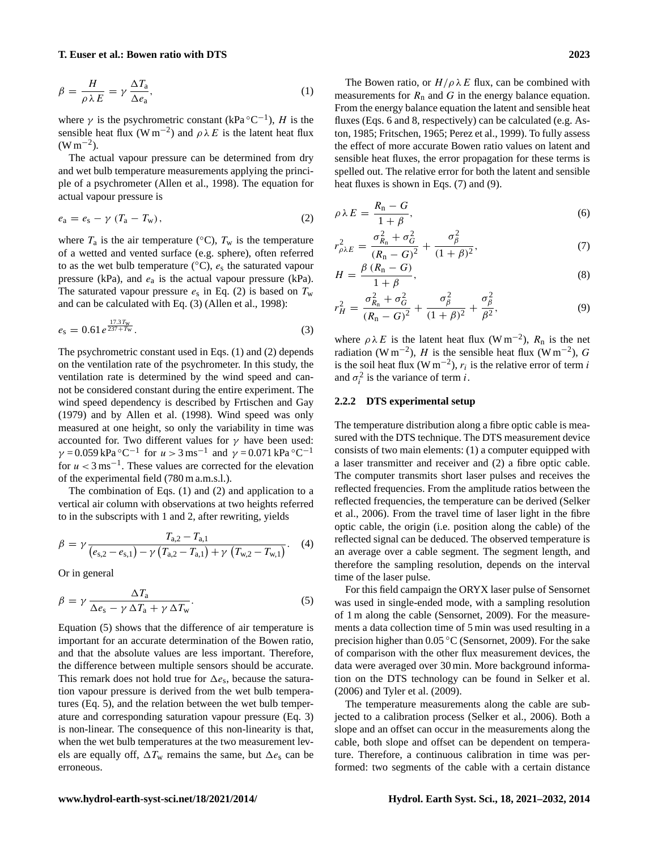#### <span id="page-2-0"></span>**T. Euser et al.: Bowen ratio with DTS 2023**

$$
\beta = \frac{H}{\rho \lambda E} = \gamma \frac{\Delta T_a}{\Delta e_a},\tag{1}
$$

where  $\gamma$  is the psychrometric constant (kPa  ${}^{\circ}C^{-1}$ ), H is the sensible heat flux (W m<sup>-2</sup>) and  $\rho \lambda E$  is the latent heat flux  $(W m^{-2})$ .

The actual vapour pressure can be determined from dry and wet bulb temperature measurements applying the principle of a psychrometer [\(Allen et al.,](#page-10-18) [1998\)](#page-10-18). The equation for actual vapour pressure is

<span id="page-2-1"></span>
$$
e_{\rm a}=e_{\rm s}-\gamma\left(T_{\rm a}-T_{\rm w}\right),\tag{2}
$$

where  $T_a$  is the air temperature (°C),  $T_w$  is the temperature of a wetted and vented surface (e.g. sphere), often referred to as the wet bulb temperature ( $°C$ ),  $e_s$  the saturated vapour pressure (kPa), and  $e_a$  is the actual vapour pressure (kPa). The saturated vapour pressure  $e_s$  in Eq. [\(2\)](#page-2-1) is based on  $T_w$ and can be calculated with Eq. [\(3\)](#page-2-2) [\(Allen et al.,](#page-10-18) [1998\)](#page-10-18):

$$
e_{\rm s} = 0.61 \, e^{\frac{17.3 \, \text{Tw}}{237 + \text{Tw}}} \,. \tag{3}
$$

The psychrometric constant used in Eqs. [\(1\)](#page-2-0) and [\(2\)](#page-2-1) depends on the ventilation rate of the psychrometer. In this study, the ventilation rate is determined by the wind speed and cannot be considered constant during the entire experiment. The wind speed dependency is described by [Frtischen and Gay](#page-10-19) [\(1979\)](#page-10-19) and by [Allen et al.](#page-10-18) [\(1998\)](#page-10-18). Wind speed was only measured at one height, so only the variability in time was accounted for. Two different values for  $\gamma$  have been used:  $\gamma = 0.059 \text{ kPa} \text{°C}^{-1} \text{ for } u > 3 \text{ ms}^{-1} \text{ and } \gamma = 0.071 \text{ kPa} \text{°C}^{-1}$ for  $u < 3$  ms<sup>-1</sup>. These values are corrected for the elevation of the experimental field (780 m a.m.s.l.).

The combination of Eqs. [\(1\)](#page-2-0) and [\(2\)](#page-2-1) and application to a vertical air column with observations at two heights referred to in the subscripts with 1 and 2, after rewriting, yields

$$
\beta = \gamma \frac{T_{a,2} - T_{a,1}}{(e_{s,2} - e_{s,1}) - \gamma (T_{a,2} - T_{a,1}) + \gamma (T_{w,2} - T_{w,1})}.
$$
 (4)

<span id="page-2-3"></span>Or in general

$$
\beta = \gamma \frac{\Delta T_a}{\Delta e_s - \gamma \Delta T_a + \gamma \Delta T_w}.
$$
\n(5)

Equation [\(5\)](#page-2-3) shows that the difference of air temperature is important for an accurate determination of the Bowen ratio, and that the absolute values are less important. Therefore, the difference between multiple sensors should be accurate. This remark does not hold true for  $\Delta e_s$ , because the saturation vapour pressure is derived from the wet bulb temperatures (Eq. [5\)](#page-2-3), and the relation between the wet bulb temperature and corresponding saturation vapour pressure (Eq. [3\)](#page-2-2) is non-linear. The consequence of this non-linearity is that, when the wet bulb temperatures at the two measurement levels are equally off,  $\Delta T_{\rm w}$  remains the same, but  $\Delta e_{\rm s}$  can be erroneous.

The Bowen ratio, or  $H/\rho \lambda E$  flux, can be combined with measurements for  $R_n$  and G in the energy balance equation. From the energy balance equation the latent and sensible heat fluxes (Eqs. [6](#page-2-4) and [8,](#page-2-5) respectively) can be calculated (e.g. [As](#page-10-7)[ton,](#page-10-7) [1985;](#page-10-7) [Fritschen,](#page-10-20) [1965;](#page-10-20) [Perez et al.,](#page-11-20) [1999\)](#page-11-20). To fully assess the effect of more accurate Bowen ratio values on latent and sensible heat fluxes, the error propagation for these terms is spelled out. The relative error for both the latent and sensible heat fluxes is shown in Eqs. [\(7\)](#page-2-6) and [\(9\)](#page-2-7).

<span id="page-2-4"></span>
$$
\rho \lambda E = \frac{R_{\rm n} - G}{1 + \beta},\tag{6}
$$

<span id="page-2-6"></span>
$$
r_{\rho\lambda E}^2 = \frac{\sigma_{R_{\rm n}}^2 + \sigma_G^2}{\left(R_{\rm n} - G\right)^2} + \frac{\sigma_{\beta}^2}{\left(1 + \beta\right)^2},\tag{7}
$$

<span id="page-2-5"></span>
$$
H = \frac{\beta (R_{\rm n} - G)}{1 + \beta},\tag{8}
$$

<span id="page-2-7"></span><span id="page-2-2"></span>
$$
r_H^2 = \frac{\sigma_{R_n}^2 + \sigma_G^2}{(R_n - G)^2} + \frac{\sigma_{\beta}^2}{(1 + \beta)^2} + \frac{\sigma_{\beta}^2}{\beta^2},
$$
(9)

where  $\rho \lambda E$  is the latent heat flux (W m<sup>-2</sup>),  $R_n$  is the net radiation (W m<sup>-2</sup>), H is the sensible heat flux (W m<sup>-2</sup>), G is the soil heat flux (W m<sup>-2</sup>),  $r_i$  is the relative error of term *i* and  $\sigma_i^2$  is the variance of term *i*.

#### **2.2.2 DTS experimental setup**

The temperature distribution along a fibre optic cable is measured with the DTS technique. The DTS measurement device consists of two main elements: (1) a computer equipped with a laser transmitter and receiver and (2) a fibre optic cable. The computer transmits short laser pulses and receives the reflected frequencies. From the amplitude ratios between the reflected frequencies, the temperature can be derived [\(Selker](#page-11-13) [et al.,](#page-11-13) [2006\)](#page-11-13). From the travel time of laser light in the fibre optic cable, the origin (i.e. position along the cable) of the reflected signal can be deduced. The observed temperature is an average over a cable segment. The segment length, and therefore the sampling resolution, depends on the interval time of the laser pulse.

For this field campaign the ORYX laser pulse of Sensornet was used in single-ended mode, with a sampling resolution of 1 m along the cable [\(Sensornet,](#page-11-21) [2009\)](#page-11-21). For the measurements a data collection time of 5 min was used resulting in a precision higher than 0.05 ◦C [\(Sensornet,](#page-11-21) [2009\)](#page-11-21). For the sake of comparison with the other flux measurement devices, the data were averaged over 30 min. More background information on the DTS technology can be found in [Selker et al.](#page-11-13) [\(2006\)](#page-11-13) and [Tyler et al.](#page-11-14) [\(2009\)](#page-11-14).

The temperature measurements along the cable are subjected to a calibration process [\(Selker et al.,](#page-11-13) [2006\)](#page-11-13). Both a slope and an offset can occur in the measurements along the cable, both slope and offset can be dependent on temperature. Therefore, a continuous calibration in time was performed: two segments of the cable with a certain distance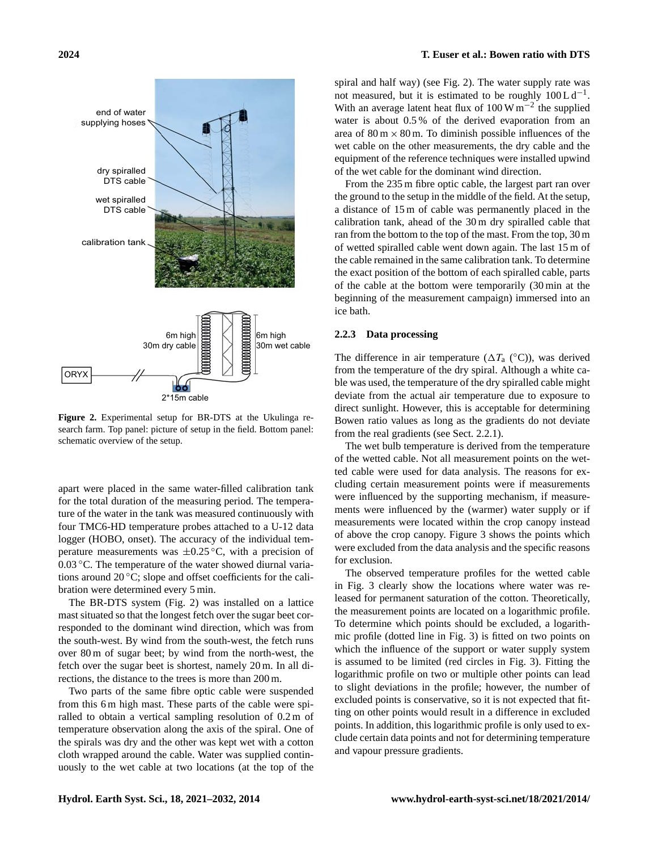

<span id="page-3-0"></span>**Figure 2.** Experimental setup for BR-DTS at the Ukulinga research farm. Top panel: picture of setup in the field. Bottom panel: schematic overview of the setup.

apart were placed in the same water-filled calibration tank for the total duration of the measuring period. The temperature of the water in the tank was measured continuously with four TMC6-HD temperature probes attached to a U-12 data logger (HOBO, onset). The accuracy of the individual temperature measurements was  $\pm 0.25$  °C, with a precision of 0.03 °C. The temperature of the water showed diurnal variations around  $20^{\circ}$ C; slope and offset coefficients for the calibration were determined every 5 min.

The BR-DTS system (Fig. [2\)](#page-3-0) was installed on a lattice mast situated so that the longest fetch over the sugar beet corresponded to the dominant wind direction, which was from the south-west. By wind from the south-west, the fetch runs over 80 m of sugar beet; by wind from the north-west, the fetch over the sugar beet is shortest, namely 20 m. In all directions, the distance to the trees is more than 200 m.

Two parts of the same fibre optic cable were suspended from this 6 m high mast. These parts of the cable were spiralled to obtain a vertical sampling resolution of 0.2 m of temperature observation along the axis of the spiral. One of the spirals was dry and the other was kept wet with a cotton cloth wrapped around the cable. Water was supplied continuously to the wet cable at two locations (at the top of the spiral and half way) (see Fig. [2\)](#page-3-0). The water supply rate was not measured, but it is estimated to be roughly  $100 \, \text{L} \, \text{d}^{-1}$ . With an average latent heat flux of  $100 \text{ W m}^{-2}$  the supplied water is about 0.5 % of the derived evaporation from an area of  $80 \text{ m} \times 80 \text{ m}$ . To diminish possible influences of the wet cable on the other measurements, the dry cable and the equipment of the reference techniques were installed upwind of the wet cable for the dominant wind direction.

From the 235 m fibre optic cable, the largest part ran over the ground to the setup in the middle of the field. At the setup, a distance of 15 m of cable was permanently placed in the calibration tank, ahead of the 30 m dry spiralled cable that ran from the bottom to the top of the mast. From the top, 30 m of wetted spiralled cable went down again. The last 15 m of the cable remained in the same calibration tank. To determine the exact position of the bottom of each spiralled cable, parts of the cable at the bottom were temporarily (30 min at the beginning of the measurement campaign) immersed into an ice bath.

## <span id="page-3-1"></span>**2.2.3 Data processing**

The difference in air temperature ( $\Delta T_a$  (°C)), was derived from the temperature of the dry spiral. Although a white cable was used, the temperature of the dry spiralled cable might deviate from the actual air temperature due to exposure to direct sunlight. However, this is acceptable for determining Bowen ratio values as long as the gradients do not deviate from the real gradients (see Sect. [2.2.1\)](#page-1-1).

The wet bulb temperature is derived from the temperature of the wetted cable. Not all measurement points on the wetted cable were used for data analysis. The reasons for excluding certain measurement points were if measurements were influenced by the supporting mechanism, if measurements were influenced by the (warmer) water supply or if measurements were located within the crop canopy instead of above the crop canopy. Figure [3](#page-4-0) shows the points which were excluded from the data analysis and the specific reasons for exclusion.

The observed temperature profiles for the wetted cable in Fig. [3](#page-4-0) clearly show the locations where water was released for permanent saturation of the cotton. Theoretically, the measurement points are located on a logarithmic profile. To determine which points should be excluded, a logarithmic profile (dotted line in Fig. [3\)](#page-4-0) is fitted on two points on which the influence of the support or water supply system is assumed to be limited (red circles in Fig. [3\)](#page-4-0). Fitting the logarithmic profile on two or multiple other points can lead to slight deviations in the profile; however, the number of excluded points is conservative, so it is not expected that fitting on other points would result in a difference in excluded points. In addition, this logarithmic profile is only used to exclude certain data points and not for determining temperature and vapour pressure gradients.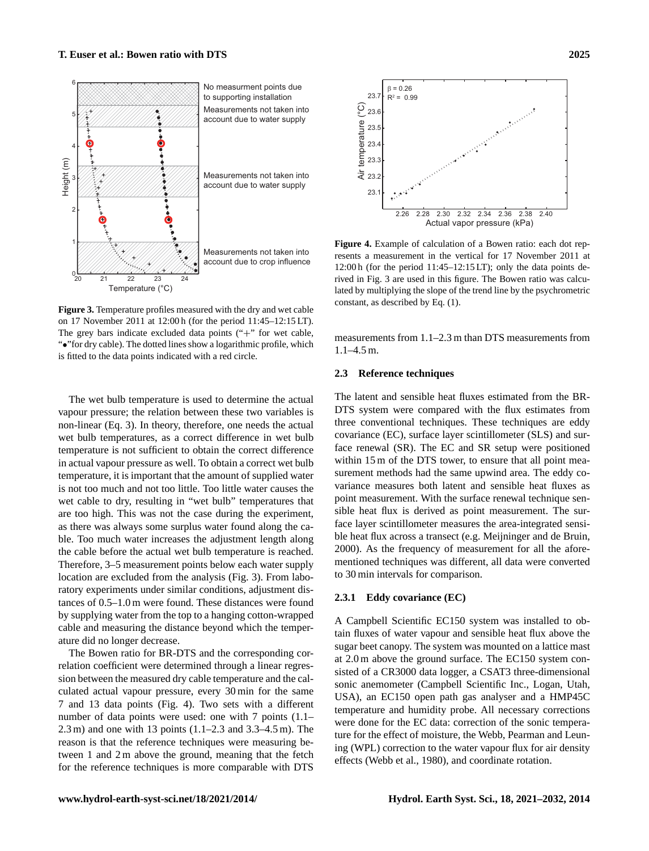

<span id="page-4-0"></span>**Figure 3.** Temperature profiles measured with the dry and wet cable on 17 November 2011 at 12:00 h (for the period 11:45–12:15 LT). The grey bars indicate excluded data points ("+" for wet cable, "•"for dry cable). The dotted lines show a logarithmic profile, which is fitted to the data points indicated with a red circle.

The wet bulb temperature is used to determine the actual vapour pressure; the relation between these two variables is non-linear (Eq. [3\)](#page-2-2). In theory, therefore, one needs the actual wet bulb temperatures, as a correct difference in wet bulb temperature is not sufficient to obtain the correct difference in actual vapour pressure as well. To obtain a correct wet bulb temperature, it is important that the amount of supplied water is not too much and not too little. Too little water causes the wet cable to dry, resulting in "wet bulb" temperatures that are too high. This was not the case during the experiment, as there was always some surplus water found along the cable. Too much water increases the adjustment length along the cable before the actual wet bulb temperature is reached. Therefore, 3–5 measurement points below each water supply location are excluded from the analysis (Fig. [3\)](#page-4-0). From laboratory experiments under similar conditions, adjustment distances of 0.5–1.0 m were found. These distances were found by supplying water from the top to a hanging cotton-wrapped cable and measuring the distance beyond which the temperature did no longer decrease.

The Bowen ratio for BR-DTS and the corresponding correlation coefficient were determined through a linear regression between the measured dry cable temperature and the calculated actual vapour pressure, every 30 min for the same 7 and 13 data points (Fig. [4\)](#page-4-1). Two sets with a different number of data points were used: one with 7 points (1.1– 2.3 m) and one with 13 points (1.1–2.3 and 3.3–4.5 m). The reason is that the reference techniques were measuring between 1 and 2 m above the ground, meaning that the fetch for the reference techniques is more comparable with DTS



<span id="page-4-1"></span>**Figure 4.** Example of calculation of a Bowen ratio: each dot represents a measurement in the vertical for 17 November 2011 at 12:00 h (for the period 11:45–12:15 LT); only the data points derived in Fig. [3](#page-4-0) are used in this figure. The Bowen ratio was calculated by multiplying the slope of the trend line by the psychrometric constant, as described by Eq. [\(1\)](#page-2-0).

measurements from 1.1–2.3 m than DTS measurements from 1.1–4.5 m.

## **2.3 Reference techniques**

The latent and sensible heat fluxes estimated from the BR-DTS system were compared with the flux estimates from three conventional techniques. These techniques are eddy covariance (EC), surface layer scintillometer (SLS) and surface renewal (SR). The EC and SR setup were positioned within 15 m of the DTS tower, to ensure that all point measurement methods had the same upwind area. The eddy covariance measures both latent and sensible heat fluxes as point measurement. With the surface renewal technique sensible heat flux is derived as point measurement. The surface layer scintillometer measures the area-integrated sensible heat flux across a transect (e.g. [Meijninger and de Bruin,](#page-11-22) [2000\)](#page-11-22). As the frequency of measurement for all the aforementioned techniques was different, all data were converted to 30 min intervals for comparison.

# **2.3.1 Eddy covariance (EC)**

A Campbell Scientific EC150 system was installed to obtain fluxes of water vapour and sensible heat flux above the sugar beet canopy. The system was mounted on a lattice mast at 2.0 m above the ground surface. The EC150 system consisted of a CR3000 data logger, a CSAT3 three-dimensional sonic anemometer (Campbell Scientific Inc., Logan, Utah, USA), an EC150 open path gas analyser and a HMP45C temperature and humidity probe. All necessary corrections were done for the EC data: correction of the sonic temperature for the effect of moisture, the Webb, Pearman and Leuning (WPL) correction to the water vapour flux for air density effects [\(Webb et al.,](#page-11-23) [1980\)](#page-11-23), and coordinate rotation.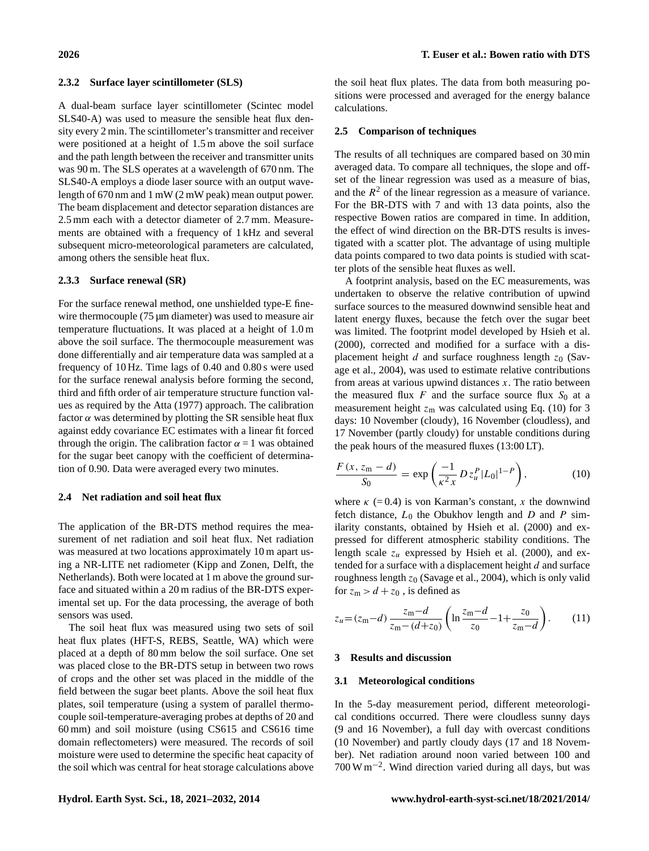## **2.3.2 Surface layer scintillometer (SLS)**

A dual-beam surface layer scintillometer (Scintec model SLS40-A) was used to measure the sensible heat flux density every 2 min. The scintillometer's transmitter and receiver were positioned at a height of 1.5 m above the soil surface and the path length between the receiver and transmitter units was 90 m. The SLS operates at a wavelength of 670 nm. The SLS40-A employs a diode laser source with an output wavelength of 670 nm and 1 mW (2 mW peak) mean output power. The beam displacement and detector separation distances are 2.5 mm each with a detector diameter of 2.7 mm. Measurements are obtained with a frequency of 1 kHz and several subsequent micro-meteorological parameters are calculated, among others the sensible heat flux.

# **2.3.3 Surface renewal (SR)**

For the surface renewal method, one unshielded type-E finewire thermocouple (75 µm diameter) was used to measure air temperature fluctuations. It was placed at a height of 1.0 m above the soil surface. The thermocouple measurement was done differentially and air temperature data was sampled at a frequency of 10 Hz. Time lags of 0.40 and 0.80 s were used for the surface renewal analysis before forming the second, third and fifth order of air temperature structure function values as required by the [Atta](#page-10-21) [\(1977\)](#page-10-21) approach. The calibration factor  $\alpha$  was determined by plotting the SR sensible heat flux against eddy covariance EC estimates with a linear fit forced through the origin. The calibration factor  $\alpha = 1$  was obtained for the sugar beet canopy with the coefficient of determination of 0.90. Data were averaged every two minutes.

#### **2.4 Net radiation and soil heat flux**

The application of the BR-DTS method requires the measurement of net radiation and soil heat flux. Net radiation was measured at two locations approximately 10 m apart using a NR-LITE net radiometer (Kipp and Zonen, Delft, the Netherlands). Both were located at 1 m above the ground surface and situated within a 20 m radius of the BR-DTS experimental set up. For the data processing, the average of both sensors was used.

The soil heat flux was measured using two sets of soil heat flux plates (HFT-S, REBS, Seattle, WA) which were placed at a depth of 80 mm below the soil surface. One set was placed close to the BR-DTS setup in between two rows of crops and the other set was placed in the middle of the field between the sugar beet plants. Above the soil heat flux plates, soil temperature (using a system of parallel thermocouple soil-temperature-averaging probes at depths of 20 and 60 mm) and soil moisture (using CS615 and CS616 time domain reflectometers) were measured. The records of soil moisture were used to determine the specific heat capacity of the soil which was central for heat storage calculations above the soil heat flux plates. The data from both measuring positions were processed and averaged for the energy balance calculations.

## **2.5 Comparison of techniques**

The results of all techniques are compared based on 30 min averaged data. To compare all techniques, the slope and offset of the linear regression was used as a measure of bias, and the  $R<sup>2</sup>$  of the linear regression as a measure of variance. For the BR-DTS with 7 and with 13 data points, also the respective Bowen ratios are compared in time. In addition, the effect of wind direction on the BR-DTS results is investigated with a scatter plot. The advantage of using multiple data points compared to two data points is studied with scatter plots of the sensible heat fluxes as well.

A footprint analysis, based on the EC measurements, was undertaken to observe the relative contribution of upwind surface sources to the measured downwind sensible heat and latent energy fluxes, because the fetch over the sugar beet was limited. The footprint model developed by [Hsieh et al.](#page-10-22) [\(2000\)](#page-10-22), corrected and modified for a surface with a displacement height d and surface roughness length  $z_0$  [\(Sav](#page-11-24)[age et al.,](#page-11-24) [2004\)](#page-11-24), was used to estimate relative contributions from areas at various upwind distances  $x$ . The ratio between the measured flux  $F$  and the surface source flux  $S_0$  at a measurement height  $z_m$  was calculated using Eq. [\(10\)](#page-5-0) for 3 days: 10 November (cloudy), 16 November (cloudless), and 17 November (partly cloudy) for unstable conditions during the peak hours of the measured fluxes (13:00 LT).

<span id="page-5-0"></span>
$$
\frac{F(x, z_m - d)}{S_0} = \exp\left(\frac{-1}{\kappa^2 x} D z_u^P |L_0|^{1 - P}\right),\tag{10}
$$

where  $\kappa$  (=0.4) is von Karman's constant, x the downwind fetch distance,  $L_0$  the Obukhov length and  $D$  and  $P$  similarity constants, obtained by [Hsieh et al.](#page-10-22) [\(2000\)](#page-10-22) and expressed for different atmospheric stability conditions. The length scale  $z_u$  expressed by [Hsieh et al.](#page-10-22) [\(2000\)](#page-10-22), and extended for a surface with a displacement height  $d$  and surface roughness length  $z_0$  [\(Savage et al.,](#page-11-24) [2004\)](#page-11-24), which is only valid for  $z_m > d + z_0$ , is defined as

$$
z_u = (z_m - d) \frac{z_m - d}{z_m - (d + z_0)} \left( \ln \frac{z_m - d}{z_0} - 1 + \frac{z_0}{z_m - d} \right). \tag{11}
$$

#### **3 Results and discussion**

## **3.1 Meteorological conditions**

In the 5-day measurement period, different meteorological conditions occurred. There were cloudless sunny days (9 and 16 November), a full day with overcast conditions (10 November) and partly cloudy days (17 and 18 November). Net radiation around noon varied between 100 and 700 W m−<sup>2</sup> . Wind direction varied during all days, but was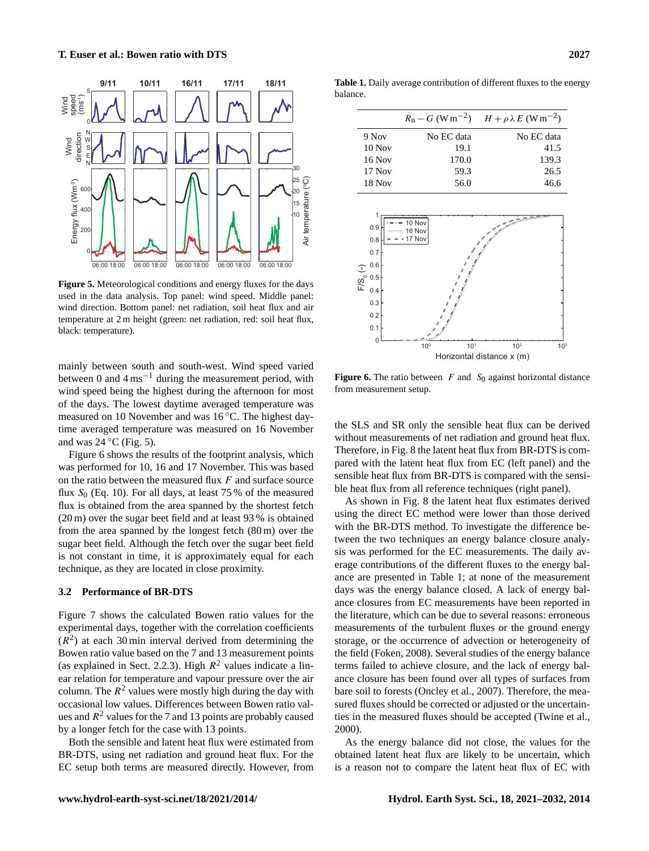

<span id="page-6-0"></span>**Figure 5.** Meteorological conditions and energy fluxes for the days used in the data analysis. Top panel: wind speed. Middle panel: wind direction. Bottom panel: net radiation, soil heat flux and air temperature at 2 m height (green: net radiation, red: soil heat flux, black: temperature).

mainly between south and south-west. Wind speed varied between 0 and  $4 \text{ ms}^{-1}$  during the measurement period, with wind speed being the highest during the afternoon for most of the days. The lowest daytime averaged temperature was measured on 10 November and was 16 ◦C. The highest daytime averaged temperature was measured on 16 November and was  $24 °C$  (Fig. [5\)](#page-6-0).

Figure [6](#page-6-1) shows the results of the footprint analysis, which was performed for 10, 16 and 17 November. This was based on the ratio between the measured flux  $F$  and surface source flux  $S_0$  (Eq. [10\)](#page-5-0). For all days, at least 75 % of the measured flux is obtained from the area spanned by the shortest fetch (20 m) over the sugar beet field and at least 93 % is obtained from the area spanned by the longest fetch (80 m) over the sugar beet field. Although the fetch over the sugar beet field is not constant in time, it is approximately equal for each technique, as they are located in close proximity.

## **3.2 Performance of BR-DTS**

Figure [7](#page-7-0) shows the calculated Bowen ratio values for the experimental days, together with the correlation coefficients  $(R<sup>2</sup>)$  at each 30 min interval derived from determining the Bowen ratio value based on the 7 and 13 measurement points (as explained in Sect. [2.2.3\)](#page-3-1). High  $R^2$  values indicate a linear relation for temperature and vapour pressure over the air column. The  $R^2$  values were mostly high during the day with occasional low values. Differences between Bowen ratio values and  $R^2$  values for the 7 and 13 points are probably caused by a longer fetch for the case with 13 points.

Both the sensible and latent heat flux were estimated from BR-DTS, using net radiation and ground heat flux. For the EC setup both terms are measured directly. However, from

<span id="page-6-2"></span>**Table 1.** Daily average contribution of different fluxes to the energy balance.

|               |            | $R_n - G$ (W m <sup>-2</sup> ) $H + \rho \lambda E$ (W m <sup>-2</sup> ) |
|---------------|------------|--------------------------------------------------------------------------|
|               |            |                                                                          |
| 9 Nov         | No EC data | No EC data                                                               |
| $10$ Nov      | 19.1       | 41.5                                                                     |
| 16 Nov        | 170.0      | 139.3                                                                    |
| $17$ Nov      | 59.3       | 26.5                                                                     |
| <b>18 Nov</b> | 56.0       | 46.6                                                                     |



<span id="page-6-1"></span>**Figure 6.** The ratio between  $F$  and  $S_0$  against horizontal distance from measurement setup.

the SLS and SR only the sensible heat flux can be derived without measurements of net radiation and ground heat flux. Therefore, in Fig. [8](#page-7-1) the latent heat flux from BR-DTS is compared with the latent heat flux from EC (left panel) and the sensible heat flux from BR-DTS is compared with the sensible heat flux from all reference techniques (right panel).

As shown in Fig. [8](#page-7-1) the latent heat flux estimates derived using the direct EC method were lower than those derived with the BR-DTS method. To investigate the difference between the two techniques an energy balance closure analysis was performed for the EC measurements. The daily average contributions of the different fluxes to the energy balance are presented in Table [1;](#page-6-2) at none of the measurement days was the energy balance closed. A lack of energy balance closures from EC measurements have been reported in the literature, which can be due to several reasons: erroneous measurements of the turbulent fluxes or the ground energy storage, or the occurrence of advection or heterogeneity of the field [\(Foken,](#page-10-23) [2008\)](#page-10-23). Several studies of the energy balance terms failed to achieve closure, and the lack of energy balance closure has been found over all types of surfaces from bare soil to forests [\(Oncley et al.,](#page-11-25) [2007\)](#page-11-25). Therefore, the measured fluxes should be corrected or adjusted or the uncertainties in the measured fluxes should be accepted [\(Twine et al.,](#page-11-26) [2000\)](#page-11-26).

As the energy balance did not close, the values for the obtained latent heat flux are likely to be uncertain, which is a reason not to compare the latent heat flux of EC with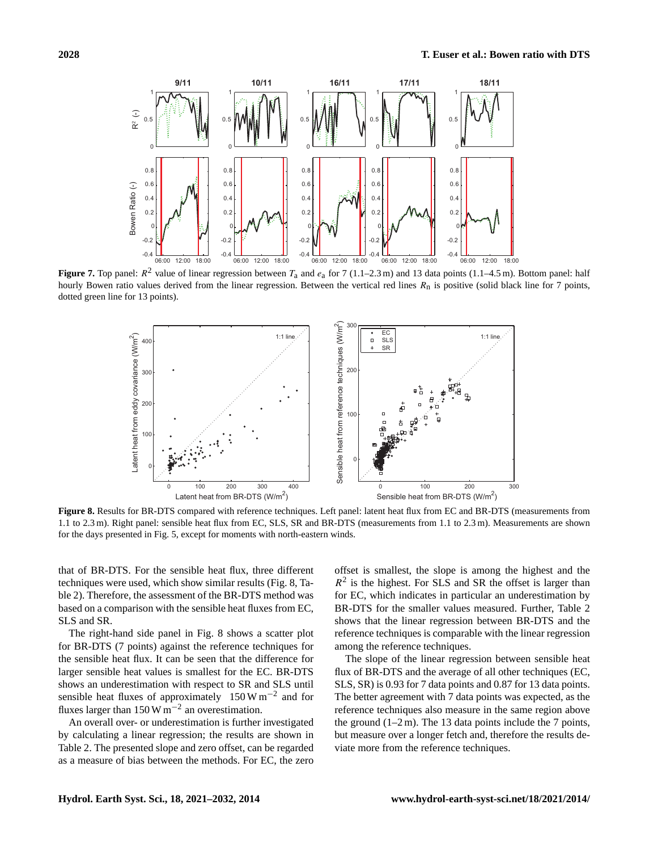

<span id="page-7-0"></span>**Figure 7.** Top panel:  $R^2$  value of linear regression between  $T_a$  and  $e_a$  for 7 (1.1–2.3 m) and 13 data points (1.1–4.5 m). Bottom panel: half hourly Bowen ratio values derived from the linear regression. Between the vertical red lines  $R_n$  is positive (solid black line for 7 points, dotted green line for 13 points).



<span id="page-7-1"></span>**Figure 8.** Results for BR-DTS compared with reference techniques. Left panel: latent heat flux from EC and BR-DTS (measurements from 1.1 to 2.3 m). Right panel: sensible heat flux from EC, SLS, SR and BR-DTS (measurements from 1.1 to 2.3 m). Measurements are shown for the days presented in Fig. [5,](#page-6-0) except for moments with north-eastern winds.

that of BR-DTS. For the sensible heat flux, three different techniques were used, which show similar results (Fig. [8,](#page-7-1) Table [2\)](#page-8-0). Therefore, the assessment of the BR-DTS method was based on a comparison with the sensible heat fluxes from EC, SLS and SR.

The right-hand side panel in Fig. [8](#page-7-1) shows a scatter plot for BR-DTS (7 points) against the reference techniques for the sensible heat flux. It can be seen that the difference for larger sensible heat values is smallest for the EC. BR-DTS shows an underestimation with respect to SR and SLS until sensible heat fluxes of approximately 150 W m<sup>-2</sup> and for fluxes larger than 150 W  $\text{m}^{-2}$  an overestimation.

An overall over- or underestimation is further investigated by calculating a linear regression; the results are shown in Table [2.](#page-8-0) The presented slope and zero offset, can be regarded as a measure of bias between the methods. For EC, the zero offset is smallest, the slope is among the highest and the  $R<sup>2</sup>$  is the highest. For SLS and SR the offset is larger than for EC, which indicates in particular an underestimation by BR-DTS for the smaller values measured. Further, Table [2](#page-8-0) shows that the linear regression between BR-DTS and the reference techniques is comparable with the linear regression among the reference techniques.

The slope of the linear regression between sensible heat flux of BR-DTS and the average of all other techniques (EC, SLS, SR) is 0.93 for 7 data points and 0.87 for 13 data points. The better agreement with 7 data points was expected, as the reference techniques also measure in the same region above the ground  $(1-2m)$ . The 13 data points include the 7 points, but measure over a longer fetch and, therefore the results deviate more from the reference techniques.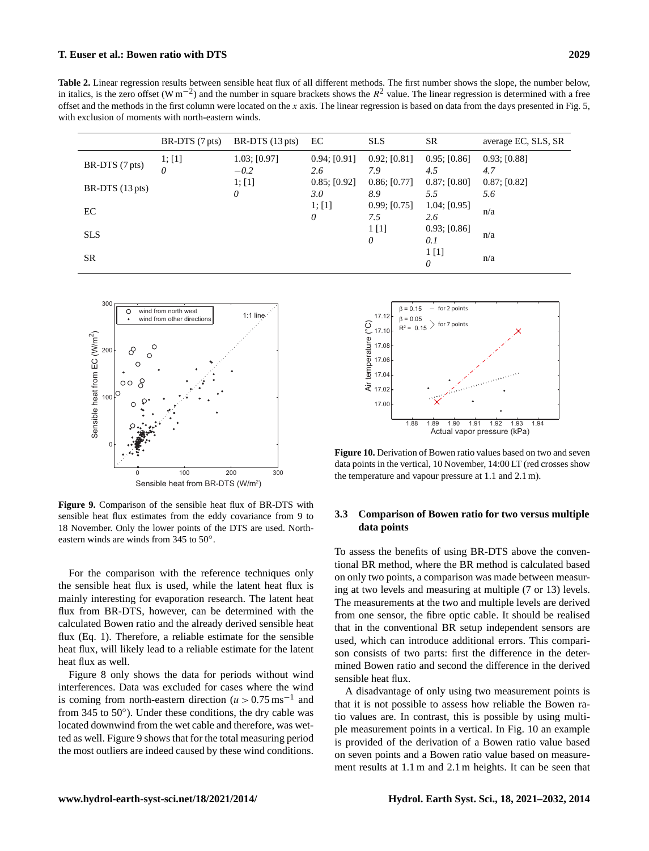# **T. Euser et al.: Bowen ratio with DTS 2029**

<span id="page-8-0"></span>**Table 2.** Linear regression results between sensible heat flux of all different methods. The first number shows the slope, the number below, in italics, is the zero offset (W m<sup>-2</sup>) and the number in square brackets shows the  $R^2$  value. The linear regression is determined with a free offset and the methods in the first column were located on the x axis. The linear regression is based on data from the days presented in Fig. [5,](#page-6-0) with exclusion of moments with north-eastern winds.

|                           | $BR-DTS(7 pts)$ | BR-DTS $(13 \text{ pts})$ | EC                  | <b>SLS</b>          | <b>SR</b>             | average EC, SLS, SR |
|---------------------------|-----------------|---------------------------|---------------------|---------------------|-----------------------|---------------------|
| BR-DTS (7 pts)            | 1; [1]<br>0     | 1.03; [0.97]<br>$-0.2$    | 0.94; [0.91]<br>2.6 | 0.92; [0.81]<br>7.9 | 0.95; [0.86]<br>4.5   | 0.93; [0.88]<br>4.7 |
| BR-DTS $(13 \text{ pts})$ |                 | 1; [1]<br>0               | 0.85; [0.92]<br>3.0 | 0.86; [0.77]<br>8.9 | 0.87; [0.80]<br>5.5   | 0.87; [0.82]<br>5.6 |
| EС                        |                 |                           | 1; [1]<br>0         | 0.99; [0.75]<br>7.5 | 1.04; [0.95]<br>2.6   | n/a                 |
| <b>SLS</b>                |                 |                           |                     | 1[1]<br>0           | 0.93; [0.86]<br>0.1   | n/a                 |
| SR                        |                 |                           |                     |                     | 1 <sub>[1]</sub><br>0 | n/a                 |



<span id="page-8-1"></span>**Figure 9.** Comparison of the sensible heat flux of BR-DTS with sensible heat flux estimates from the eddy covariance from 9 to 18 November. Only the lower points of the DTS are used. Northeastern winds are winds from 345 to 50◦ .

For the comparison with the reference techniques only the sensible heat flux is used, while the latent heat flux is mainly interesting for evaporation research. The latent heat flux from BR-DTS, however, can be determined with the calculated Bowen ratio and the already derived sensible heat flux (Eq. [1\)](#page-2-0). Therefore, a reliable estimate for the sensible heat flux, will likely lead to a reliable estimate for the latent heat flux as well.

Figure [8](#page-7-1) only shows the data for periods without wind interferences. Data was excluded for cases where the wind is coming from north-eastern direction  $(u > 0.75 \text{ ms}^{-1})$  and from  $345$  to  $50^{\circ}$ ). Under these conditions, the dry cable was located downwind from the wet cable and therefore, was wetted as well. Figure [9](#page-8-1) shows that for the total measuring period the most outliers are indeed caused by these wind conditions.



<span id="page-8-2"></span>**Figure 10.** Derivation of Bowen ratio values based on two and seven data points in the vertical, 10 November, 14:00 LT (red crosses show the temperature and vapour pressure at 1.1 and 2.1 m).

# **3.3 Comparison of Bowen ratio for two versus multiple data points**

To assess the benefits of using BR-DTS above the conventional BR method, where the BR method is calculated based on only two points, a comparison was made between measuring at two levels and measuring at multiple (7 or 13) levels. The measurements at the two and multiple levels are derived from one sensor, the fibre optic cable. It should be realised that in the conventional BR setup independent sensors are used, which can introduce additional errors. This comparison consists of two parts: first the difference in the determined Bowen ratio and second the difference in the derived sensible heat flux.

A disadvantage of only using two measurement points is that it is not possible to assess how reliable the Bowen ratio values are. In contrast, this is possible by using multiple measurement points in a vertical. In Fig. [10](#page-8-2) an example is provided of the derivation of a Bowen ratio value based on seven points and a Bowen ratio value based on measurement results at 1.1 m and 2.1 m heights. It can be seen that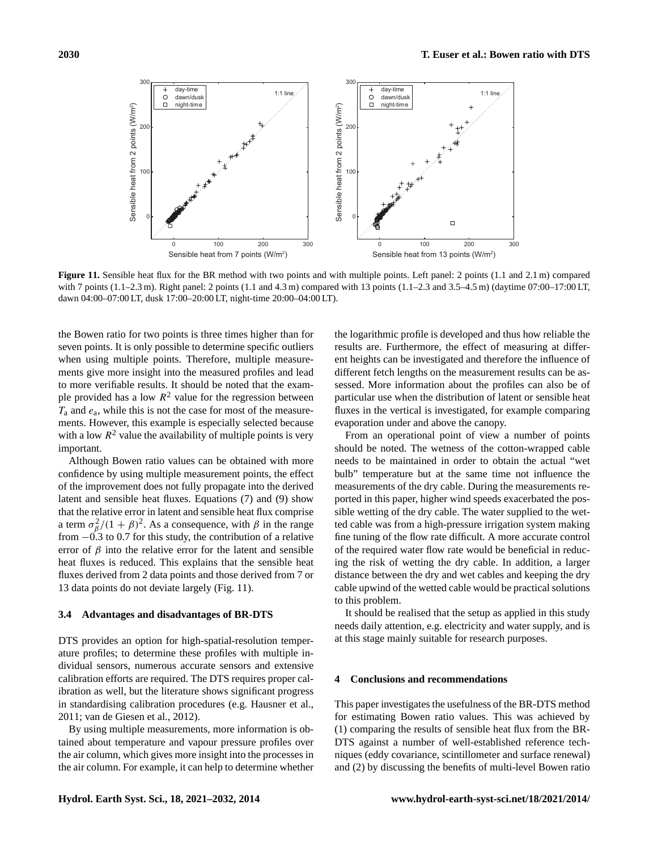

<span id="page-9-0"></span>**Figure 11.** Sensible heat flux for the BR method with two points and with multiple points. Left panel: 2 points (1.1 and 2.1 m) compared with 7 points (1.1–2.3 m). Right panel: 2 points (1.1 and 4.3 m) compared with 13 points (1.1–2.3 and 3.5–4.5 m) (daytime 07:00–17:00 LT, dawn 04:00–07:00 LT, dusk 17:00–20:00 LT, night-time 20:00–04:00 LT).

the Bowen ratio for two points is three times higher than for seven points. It is only possible to determine specific outliers when using multiple points. Therefore, multiple measurements give more insight into the measured profiles and lead to more verifiable results. It should be noted that the example provided has a low  $R^2$  value for the regression between  $T_a$  and  $e_a$ , while this is not the case for most of the measurements. However, this example is especially selected because with a low  $R^2$  value the availability of multiple points is very important.

Although Bowen ratio values can be obtained with more confidence by using multiple measurement points, the effect of the improvement does not fully propagate into the derived latent and sensible heat fluxes. Equations [\(7\)](#page-2-6) and [\(9\)](#page-2-7) show that the relative error in latent and sensible heat flux comprise a term  $\sigma_{\beta}^2/(1+\beta)^2$ . As a consequence, with  $\beta$  in the range from  $-0.3$  to 0.7 for this study, the contribution of a relative error of  $\beta$  into the relative error for the latent and sensible heat fluxes is reduced. This explains that the sensible heat fluxes derived from 2 data points and those derived from 7 or 13 data points do not deviate largely (Fig. [11\)](#page-9-0).

## **3.4 Advantages and disadvantages of BR-DTS**

DTS provides an option for high-spatial-resolution temperature profiles; to determine these profiles with multiple individual sensors, numerous accurate sensors and extensive calibration efforts are required. The DTS requires proper calibration as well, but the literature shows significant progress in standardising calibration procedures (e.g. [Hausner et al.,](#page-10-24) [2011;](#page-10-24) [van de Giesen et al.,](#page-11-27) [2012\)](#page-11-27).

By using multiple measurements, more information is obtained about temperature and vapour pressure profiles over the air column, which gives more insight into the processes in the air column. For example, it can help to determine whether the logarithmic profile is developed and thus how reliable the results are. Furthermore, the effect of measuring at different heights can be investigated and therefore the influence of different fetch lengths on the measurement results can be assessed. More information about the profiles can also be of particular use when the distribution of latent or sensible heat fluxes in the vertical is investigated, for example comparing evaporation under and above the canopy.

From an operational point of view a number of points should be noted. The wetness of the cotton-wrapped cable needs to be maintained in order to obtain the actual "wet bulb" temperature but at the same time not influence the measurements of the dry cable. During the measurements reported in this paper, higher wind speeds exacerbated the possible wetting of the dry cable. The water supplied to the wetted cable was from a high-pressure irrigation system making fine tuning of the flow rate difficult. A more accurate control of the required water flow rate would be beneficial in reducing the risk of wetting the dry cable. In addition, a larger distance between the dry and wet cables and keeping the dry cable upwind of the wetted cable would be practical solutions to this problem.

It should be realised that the setup as applied in this study needs daily attention, e.g. electricity and water supply, and is at this stage mainly suitable for research purposes.

## **4 Conclusions and recommendations**

This paper investigates the usefulness of the BR-DTS method for estimating Bowen ratio values. This was achieved by (1) comparing the results of sensible heat flux from the BR-DTS against a number of well-established reference techniques (eddy covariance, scintillometer and surface renewal) and (2) by discussing the benefits of multi-level Bowen ratio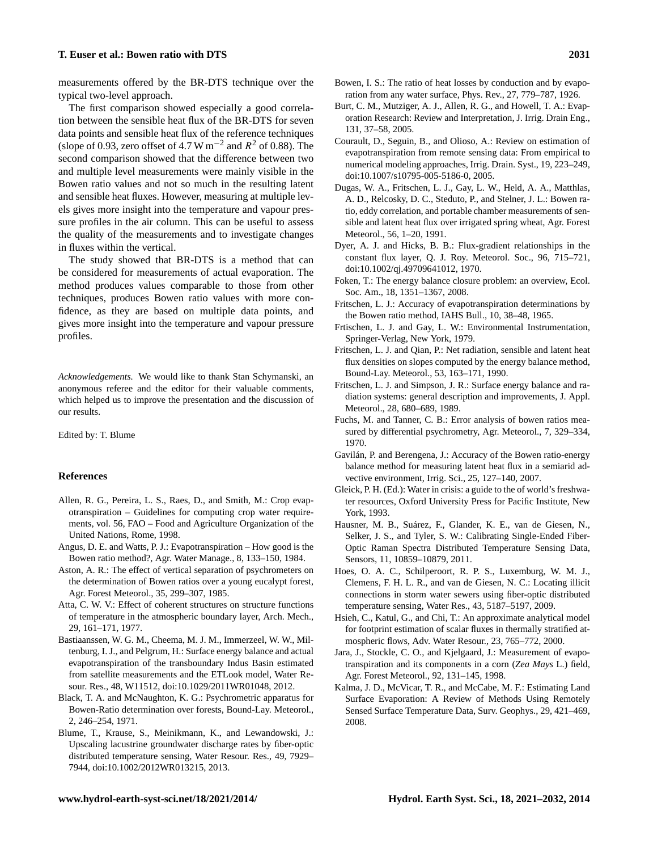measurements offered by the BR-DTS technique over the typical two-level approach.

The first comparison showed especially a good correlation between the sensible heat flux of the BR-DTS for seven data points and sensible heat flux of the reference techniques (slope of 0.93, zero offset of 4.7 W m<sup>-2</sup> and  $R^2$  of 0.88). The second comparison showed that the difference between two and multiple level measurements were mainly visible in the Bowen ratio values and not so much in the resulting latent and sensible heat fluxes. However, measuring at multiple levels gives more insight into the temperature and vapour pressure profiles in the air column. This can be useful to assess the quality of the measurements and to investigate changes in fluxes within the vertical.

The study showed that BR-DTS is a method that can be considered for measurements of actual evaporation. The method produces values comparable to those from other techniques, produces Bowen ratio values with more confidence, as they are based on multiple data points, and gives more insight into the temperature and vapour pressure profiles.

*Acknowledgements.* We would like to thank Stan Schymanski, an anonymous referee and the editor for their valuable comments, which helped us to improve the presentation and the discussion of our results.

Edited by: T. Blume

#### **References**

- <span id="page-10-18"></span>Allen, R. G., Pereira, L. S., Raes, D., and Smith, M.: Crop evapotranspiration – Guidelines for computing crop water requirements, vol. 56, FAO – Food and Agriculture Organization of the United Nations, Rome, 1998.
- <span id="page-10-10"></span>Angus, D. E. and Watts, P. J.: Evapotranspiration – How good is the Bowen ratio method?, Agr. Water Manage., 8, 133–150, 1984.
- <span id="page-10-7"></span>Aston, A. R.: The effect of vertical separation of psychrometers on the determination of Bowen ratios over a young eucalypt forest, Agr. Forest Meteorol., 35, 299–307, 1985.
- <span id="page-10-21"></span>Atta, C. W. V.: Effect of coherent structures on structure functions of temperature in the atmospheric boundary layer, Arch. Mech., 29, 161–171, 1977.
- <span id="page-10-1"></span>Bastiaanssen, W. G. M., Cheema, M. J. M., Immerzeel, W. W., Miltenburg, I. J., and Pelgrum, H.: Surface energy balance and actual evapotranspiration of the transboundary Indus Basin estimated from satellite measurements and the ETLook model, Water Resour. Res., 48, W11512, doi[:10.1029/2011WR01048,](http://dx.doi.org/10.1029/2011WR01048) 2012.
- <span id="page-10-8"></span>Black, T. A. and McNaughton, K. G.: Psychrometric apparatus for Bowen-Ratio determination over forests, Bound-Lay. Meteorol., 2, 246–254, 1971.
- <span id="page-10-13"></span>Blume, T., Krause, S., Meinikmann, K., and Lewandowski, J.: Upscaling lacustrine groundwater discharge rates by fiber-optic distributed temperature sensing, Water Resour. Res., 49, 7929– 7944, doi[:10.1002/2012WR013215,](http://dx.doi.org/10.1002/2012WR013215) 2013.
- <span id="page-10-6"></span>Bowen, I. S.: The ratio of heat losses by conduction and by evaporation from any water surface, Phys. Rev., 27, 779–787, 1926.
- <span id="page-10-4"></span>Burt, C. M., Mutziger, A. J., Allen, R. G., and Howell, T. A.: Evaporation Research: Review and Interpretation, J. Irrig. Drain Eng., 131, 37–58, 2005.
- <span id="page-10-2"></span>Courault, D., Seguin, B., and Olioso, A.: Review on estimation of evapotranspiration from remote sensing data: From empirical to numerical modeling approaches, Irrig. Drain. Syst., 19, 223–249, doi[:10.1007/s10795-005-5186-0,](http://dx.doi.org/10.1007/s10795-005-5186-0) 2005.
- <span id="page-10-5"></span>Dugas, W. A., Fritschen, L. J., Gay, L. W., Held, A. A., Matthlas, A. D., Relcosky, D. C., Steduto, P., and Stelner, J. L.: Bowen ratio, eddy correlation, and portable chamber measurements of sensible and latent heat flux over irrigated spring wheat, Agr. Forest Meteorol., 56, 1–20, 1991.
- <span id="page-10-17"></span>Dyer, A. J. and Hicks, B. B.: Flux-gradient relationships in the constant flux layer, Q. J. Roy. Meteorol. Soc., 96, 715–721, doi[:10.1002/qj.49709641012,](http://dx.doi.org/10.1002/qj.49709641012) 1970.
- <span id="page-10-23"></span>Foken, T.: The energy balance closure problem: an overview, Ecol. Soc. Am., 18, 1351–1367, 2008.
- <span id="page-10-20"></span>Fritschen, L. J.: Accuracy of evapotranspiration determinations by the Bowen ratio method, IAHS Bull., 10, 38–48, 1965.
- <span id="page-10-19"></span>Frtischen, L. J. and Gay, L. W.: Environmental Instrumentation, Springer-Verlag, New York, 1979.
- <span id="page-10-11"></span>Fritschen, L. J. and Qian, P.: Net radiation, sensible and latent heat flux densities on slopes computed by the energy balance method, Bound-Lay. Meteorol., 53, 163–171, 1990.
- <span id="page-10-15"></span>Fritschen, L. J. and Simpson, J. R.: Surface energy balance and radiation systems: general description and improvements, J. Appl. Meteorol., 28, 680–689, 1989.
- <span id="page-10-12"></span>Fuchs, M. and Tanner, C. B.: Error analysis of bowen ratios measured by differential psychrometry, Agr. Meteorol., 7, 329–334, 1970.
- <span id="page-10-16"></span>Gavilán, P. and Berengena, J.: Accuracy of the Bowen ratio-energy balance method for measuring latent heat flux in a semiarid advective environment, Irrig. Sci., 25, 127–140, 2007.
- <span id="page-10-0"></span>Gleick, P. H. (Ed.): Water in crisis: a guide to the of world's freshwater resources, Oxford University Press for Pacific Institute, New York, 1993.
- <span id="page-10-24"></span>Hausner, M. B., Suárez, F., Glander, K. E., van de Giesen, N., Selker, J. S., and Tyler, S. W.: Calibrating Single-Ended Fiber-Optic Raman Spectra Distributed Temperature Sensing Data, Sensors, 11, 10859–10879, 2011.
- <span id="page-10-14"></span>Hoes, O. A. C., Schilperoort, R. P. S., Luxemburg, W. M. J., Clemens, F. H. L. R., and van de Giesen, N. C.: Locating illicit connections in storm water sewers using fiber-optic distributed temperature sensing, Water Res., 43, 5187–5197, 2009.
- <span id="page-10-22"></span>Hsieh, C., Katul, G., and Chi, T.: An approximate analytical model for footprint estimation of scalar fluxes in thermally stratified atmospheric flows, Adv. Water Resour., 23, 765–772, 2000.
- <span id="page-10-9"></span>Jara, J., Stockle, C. O., and Kjelgaard, J.: Measurement of evapotranspiration and its components in a corn (*Zea Mays* L.) field, Agr. Forest Meteorol., 92, 131–145, 1998.
- <span id="page-10-3"></span>Kalma, J. D., McVicar, T. R., and McCabe, M. F.: Estimating Land Surface Evaporation: A Review of Methods Using Remotely Sensed Surface Temperature Data, Surv. Geophys., 29, 421–469, 2008.